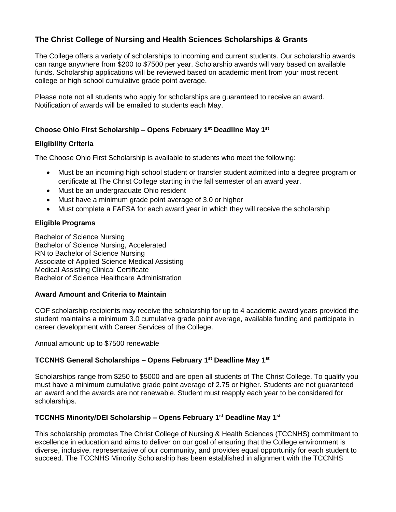# **The Christ College of Nursing and Health Sciences Scholarships & Grants**

The College offers a variety of scholarships to incoming and current students. Our scholarship awards can range anywhere from \$200 to \$7500 per year. Scholarship awards will vary based on available funds. Scholarship applications will be reviewed based on academic merit from your most recent college or high school cumulative grade point average.

Please note not all students who apply for scholarships are guaranteed to receive an award. Notification of awards will be emailed to students each May.

# **Choose Ohio First Scholarship – Opens February 1 st Deadline May 1 st**

### **Eligibility Criteria**

The Choose Ohio First Scholarship is available to students who meet the following:

- Must be an incoming high school student or transfer student admitted into a degree program or certificate at The Christ College starting in the fall semester of an award year.
- Must be an undergraduate Ohio resident
- Must have a minimum grade point average of 3.0 or higher
- Must complete a FAFSA for each award year in which they will receive the scholarship

### **Eligible Programs**

Bachelor of Science Nursing Bachelor of Science Nursing, Accelerated RN to Bachelor of Science Nursing Associate of Applied Science Medical Assisting Medical Assisting Clinical Certificate Bachelor of Science Healthcare Administration

### **Award Amount and Criteria to Maintain**

COF scholarship recipients may receive the scholarship for up to 4 academic award years provided the student maintains a minimum 3.0 cumulative grade point average, available funding and participate in career development with Career Services of the College.

Annual amount: up to \$7500 renewable

### **TCCNHS General Scholarships – Opens February 1st Deadline May 1 st**

Scholarships range from \$250 to \$5000 and are open all students of The Christ College. To qualify you must have a minimum cumulative grade point average of 2.75 or higher. Students are not guaranteed an award and the awards are not renewable. Student must reapply each year to be considered for scholarships.

### **TCCNHS Minority/DEI Scholarship – Opens February 1st Deadline May 1 st**

This scholarship promotes The Christ College of Nursing & Health Sciences (TCCNHS) commitment to excellence in education and aims to deliver on our goal of ensuring that the College environment is diverse, inclusive, representative of our community, and provides equal opportunity for each student to succeed. The TCCNHS Minority Scholarship has been established in alignment with the TCCNHS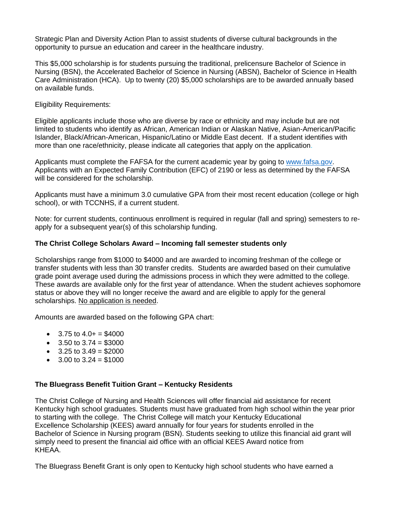Strategic Plan and Diversity Action Plan to assist students of diverse cultural backgrounds in the opportunity to pursue an education and career in the healthcare industry.

This \$5,000 scholarship is for students pursuing the traditional, prelicensure Bachelor of Science in Nursing (BSN), the Accelerated Bachelor of Science in Nursing (ABSN), Bachelor of Science in Health Care Administration (HCA). Up to twenty (20) \$5,000 scholarships are to be awarded annually based on available funds.

Eligibility Requirements:

Eligible applicants include those who are diverse by race or ethnicity and may include but are not limited to students who identify as African, American Indian or Alaskan Native, Asian-American/Pacific Islander, Black/African-American, Hispanic/Latino or Middle East decent. If a student identifies with more than one race/ethnicity, please indicate all categories that apply on the application.

Applicants must complete the FAFSA for the current academic year by going to [www.fafsa.gov.](http://www.fafsa.gov/) Applicants with an Expected Family Contribution (EFC) of 2190 or less as determined by the FAFSA will be considered for the scholarship.

Applicants must have a minimum 3.0 cumulative GPA from their most recent education (college or high school), or with TCCNHS, if a current student.

Note: for current students, continuous enrollment is required in regular (fall and spring) semesters to reapply for a subsequent year(s) of this scholarship funding.

### **The Christ College Scholars Award – Incoming fall semester students only**

Scholarships range from \$1000 to \$4000 and are awarded to incoming freshman of the college or transfer students with less than 30 transfer credits. Students are awarded based on their cumulative grade point average used during the admissions process in which they were admitted to the college. These awards are available only for the first year of attendance. When the student achieves sophomore status or above they will no longer receive the award and are eligible to apply for the general scholarships. No application is needed.

Amounts are awarded based on the following GPA chart:

- $3.75$  to  $4.0+$  = \$4000
- $3.50$  to  $3.74 = $3000$
- $3.25$  to  $3.49 = $2000$
- $3.00$  to  $3.24 = $1000$

#### **The Bluegrass Benefit Tuition Grant – Kentucky Residents**

The Christ College of Nursing and Health Sciences will offer financial aid assistance for recent Kentucky high school graduates. Students must have graduated from high school within the year prior to starting with the college. The Christ College will match your Kentucky Educational Excellence Scholarship (KEES) award annually for four years for students enrolled in the Bachelor of Science in Nursing program (BSN). Students seeking to utilize this financial aid grant will simply need to present the financial aid office with an official KEES Award notice from KHEAA.

The Bluegrass Benefit Grant is only open to Kentucky high school students who have earned a